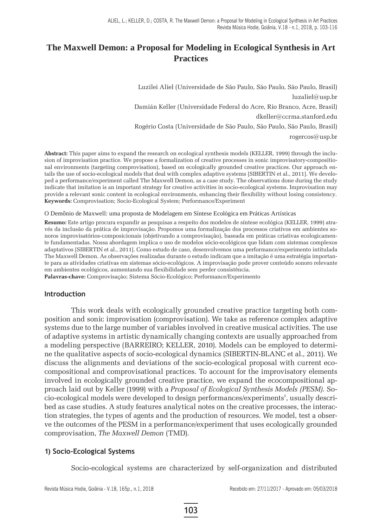## **The Maxwell Demon: a Proposal for Modeling in Ecological Synthesis in Art Practices**

Luzilei Aliel (Universidade de São Paulo, São Paulo, São Paulo, Brasil) luzaliel@usp.br Damián Keller (Universidade Federal do Acre, Rio Branco, Acre, Brasil) dkeller@ccrma.stanford.edu Rogério Costa (Universidade de São Paulo, São Paulo, São Paulo, Brasil) rogercos@usp.br

**Abstract:** This paper aims to expand the research on ecological synthesis models (KELLER, 1999) through the inclusion of improvisation practice. We propose a formalization of creative processes in sonic improvisatory-compositional environments (targeting comprovisation), based on ecologically grounded creative practices. Our approach entails the use of socio-ecological models that deal with complex adaptive systems [SIBERTIN et al., 2011]. We developed a performance/experiment called The Maxwell Demon, as a case study. The observations done during the study indicate that imitation is an important strategy for creative activities in socio-ecological systems. Improvisation may provide a relevant sonic content in ecological environments, enhancing their flexibility without losing consistency. **Keywords:** Comprovisation; Socio-Ecological System; Performance/Experiment

#### O Demônio de Maxwell: uma proposta de Modelagem em Síntese Ecológica em Práticas Artísticas

**Resumo:** Este artigo procura expandir as pesquisas a respeito dos modelos de síntese ecológica (KELLER, 1999) através da inclusão da prática de improvisação. Propomos uma formalização dos processos criativos em ambientes sonoros improvisatórios-composicionais (objetivando a comprovisação), baseada em práticas criativas ecologicamente fundamentadas. Nossa abordagem implica o uso de modelos sócio-ecológicos que lidam com sistemas complexos adaptativos [SIBERTIN et al., 2011]. Como estudo de caso, desenvolvemos uma performance/experimento intitulada The Maxwell Demon. As observações realizadas durante o estudo indicam que a imitação é uma estratégia importante para as atividades criativas em sistemas sócio-ecológicos. A improvisação pode prover conteúdo sonoro relevante em ambientes ecológicos, aumentando sua flexibilidade sem perder consistência.

**Palavras-chave:** Comprovisação; Sistema Sócio-Ecológico; Performance/Experimento

#### **Introduction**

This work deals with ecologically grounded creative practice targeting both composition and sonic improvisation (comprovisation). We take as reference complex adaptive systems due to the large number of variables involved in creative musical activities. The use of adaptive systems in artistic dynamically changing contexts are usually approached from a modeling perspective (BARREIRO; KELLER, 2010). Models can be employed to determine the qualitative aspects of socio-ecological dynamics (SIBERTIN-BLANC et al., 2011). We discuss the alignments and deviations of the socio-ecological proposal with current ecocompositional and comprovisational practices. To account for the improvisatory elements involved in ecologically grounded creative practice, we expand the ecocompositional approach laid out by Keller (1999) with a *Proposal of Ecological Synthesis Models (PESM)*. Socio-ecological models were developed to design performances/experiments<sup>1</sup>, usually described as case studies. A study features analytical notes on the creative processes, the interaction strategies, the types of agents and the production of resources. We model, test a observe the outcomes of the PESM in a performance/experiment that uses ecologically grounded comprovisation, *The Maxwell Demon* (TMD).

#### **1) Socio-Ecological Systems**

Socio-ecological systems are characterized by self-organization and distributed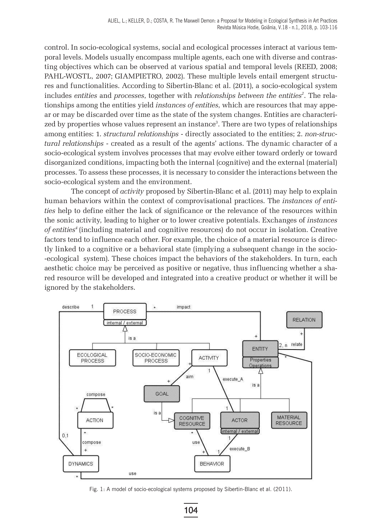control. In socio-ecological systems, social and ecological processes interact at various temporal levels. Models usually encompass multiple agents, each one with diverse and contrasting objectives which can be observed at various spatial and temporal levels (REED, 2008; PAHL-WOSTL, 2007; GIAMPIETRO, 2002). These multiple levels entail emergent structures and functionalities. According to Sibertin-Blanc et al. (2011), a socio-ecological system includes entities and *processes*, together with *relationships between the entities<sup>2</sup>*. The relationships among the entities yield *instances of entities*, which are resources that may appear or may be discarded over time as the state of the system changes. Entities are characterized by properties whose values represent an instance<sup>3</sup>. There are two types of relationships among entities: 1. *structural relationships* - directly associated to the entities; 2. *non-structural relationships* - created as a result of the agents' actions. The dynamic character of a socio-ecological system involves processes that may evolve either toward orderly or toward disorganized conditions, impacting both the internal (cognitive) and the external (material) processes. To assess these processes, it is necessary to consider the interactions between the socio-ecological system and the environment.

The concept of *activity* proposed by Sibertin-Blanc et al. (2011) may help to explain human behaviors within the context of comprovisational practices. The *instances of entities* help to define either the lack of significance or the relevance of the resources within the sonic activity, leading to higher or to lower creative potentials. Exchanges of *instances of entities4* (including material and cognitive resources) do not occur in isolation. Creative factors tend to influence each other. For example, the choice of a material resource is directly linked to a cognitive or a behavioral state (implying a subsequent change in the socio- -ecological system). These choices impact the behaviors of the stakeholders. In turn, each aesthetic choice may be perceived as positive or negative, thus influencing whether a shared resource will be developed and integrated into a creative product or whether it will be ignored by the stakeholders.



Fig. 1: A model of socio-ecological systems proposed by Sibertin-Blanc et al. (2011).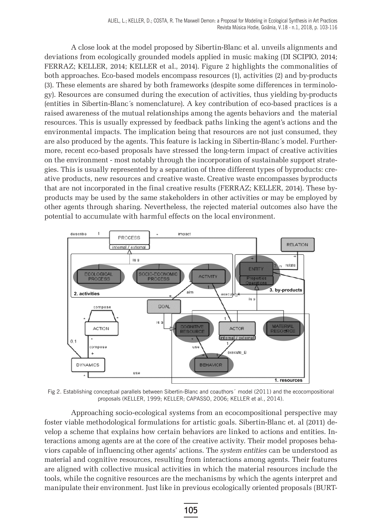A close look at the model proposed by Sibertin-Blanc et al. unveils alignments and deviations from ecologically grounded models applied in music making (DI SCIPIO, 2014; FERRAZ; KELLER, 2014; KELLER et al., 2014). Figure 2 highlights the commonalities of both approaches. Eco-based models encompass resources (1), activities (2) and by-products (3). These elements are shared by both frameworks (despite some differences in terminology). Resources are consumed during the execution of activities, thus yielding by-products (entities in Sibertin-Blanc´s nomenclature). A key contribution of eco-based practices is a raised awareness of the mutual relationships among the agents behaviors and the material resources. This is usually expressed by feedback paths linking the agent's actions and the environmental impacts. The implication being that resources are not just consumed, they are also produced by the agents. This feature is lacking in Sibertin-Blanc´s model. Furthermore, recent eco-based proposals have stressed the long-term impact of creative activities on the environment - most notably through the incorporation of sustainable support strategies. This is usually represented by a separation of three different types of byproducts: creative products, new resources and creative waste. Creative waste encompasses byproducts that are not incorporated in the final creative results (FERRAZ; KELLER, 2014). These byproducts may be used by the same stakeholders in other activities or may be employed by other agents through sharing. Nevertheless, the rejected material outcomes also have the potential to accumulate with harmful effects on the local environment.



Fig 2. Establishing conceptual parallels between Sibertin-Blanc and coauthors´ model (2011) and the ecocompositional proposals (KELLER, 1999; KELLER; CAPASSO, 2006; KELLER et al., 2014).

Approaching socio-ecological systems from an ecocompositional perspective may foster viable methodological formulations for artistic goals. Sibertin-Blanc et. al (2011) develop a scheme that explains how certain behaviors are linked to actions and entities. Interactions among agents are at the core of the creative activity. Their model proposes behaviors capable of influencing other agents' actions. The *system entities* can be understood as material and cognitive resources, resulting from interactions among agents. Their features are aligned with collective musical activities in which the material resources include the tools, while the cognitive resources are the mechanisms by which the agents interpret and manipulate their environment. Just like in previous ecologically oriented proposals (BURT-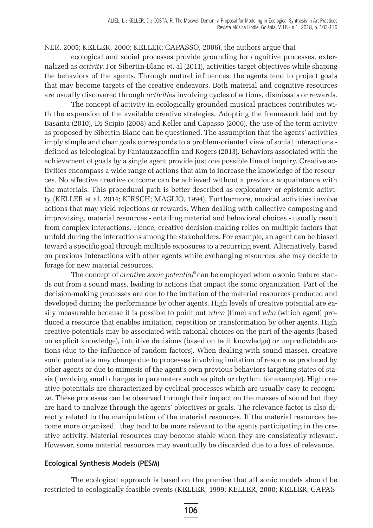NER, 2005; KELLER, 2000; KELLER; CAPASSO, 2006), the authors argue that

ecological and social processes provide grounding for cognitive processes, externalized as *activity*. For Sibertin-Blanc et. al (2011), activities target objectives while shaping the behaviors of the agents. Through mutual influences, the agents tend to project goals that may become targets of the creative endeavors. Both material and cognitive resources are usually discovered through *activities* involving cycles of actions, dismissals or rewards.

The concept of activity in ecologically grounded musical practices contributes with the expansion of the available creative strategies. Adopting the framework laid out by Basanta (2010), Di Scipio (2008) and Keller and Capasso (2006), the use of the term activity as proposed by Sibertin-Blanc can be questioned. The assumption that the agents' activities imply simple and clear goals corresponds to a problem-oriented view of social interactions defined as teleological by Fantauzzacoffin and Rogers (2013). Behaviors associated with the achievement of goals by a single agent provide just one possible line of inquiry. Creative activities encompass a wide range of actions that aim to increase the knowledge of the resources. No effective creative outcome can be achieved without a previous acquaintance with the materials. This procedural path is better described as exploratory or epistemic activity (KELLER et al. 2014; KIRSCH; MAGLIO, 1994). Furthermore, musical activities involve actions that may yield rejections or rewards. When dealing with collective composing and improvising, material resources - entailing material and behavioral choices - usually result from complex interactions. Hence, creative decision-making relies on multiple factors that unfold during the interactions among the stakeholders. For example, an agent can be biased toward a specific goal through multiple exposures to a recurring event. Alternatively, based on previous interactions with other agents while exchanging resources, she may decide to forage for new material resources.

The concept of *creative sonic potential*<sup>5</sup> can be employed when a sonic feature stands out from a sound mass, leading to actions that impact the sonic organization. Part of the decision-making processes are due to the imitation of the material resources produced and developed during the performance by other agents. High levels of creative potential are easily measurable because it is possible to point out *when* (time) and *who* (which agent) produced a resource that enables imitation, repetition or transformation by other agents. High creative potentials may be associated with rational choices on the part of the agents (based on explicit knowledge), intuitive decisions (based on tacit knowledge) or unpredictable actions (due to the influence of random factors). When dealing with sound masses, creative sonic potentials may change due to processes involving imitation of resources produced by other agents or due to mimesis of the agent's own previous behaviors targeting states of stasis (involving small changes in parameters such as pitch or rhythm, for example). High creative potentials are characterized by cyclical processes which are usually easy to recognize. These processes can be observed through their impact on the masses of sound but they are hard to analyze through the agents' objectives or goals. The relevance factor is also directly related to the manipulation of the material resources. If the material resources become more organized, they tend to be more relevant to the agents participating in the creative activity. Material resources may become stable when they are consistently relevant. However, some material resources may eventually be discarded due to a loss of relevance.

#### **Ecological Synthesis Models (PESM)**

The ecological approach is based on the premise that all sonic models should be restricted to ecologically feasible events (KELLER, 1999; KELLER, 2000; KELLER; CAPAS-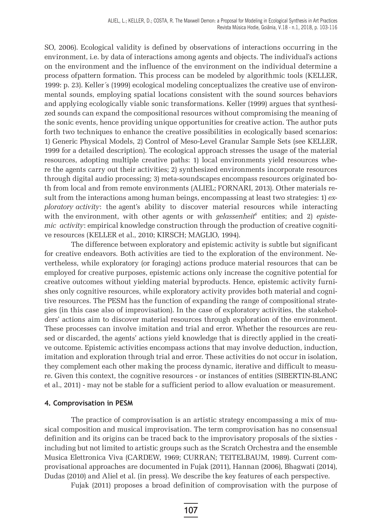SO, 2006). Ecological validity is defined by observations of interactions occurring in the environment, i.e. by data of interactions among agents and objects. The individual's actions on the environment and the influence of the environment on the individual determine a process ofpattern formation. This process can be modeled by algorithmic tools (KELLER, 1999: p. 23). Keller´s (1999) ecological modeling conceptualizes the creative use of environmental sounds, employing spatial locations consistent with the sound sources behaviors and applying ecologically viable sonic transformations. Keller (1999) argues that synthesized sounds can expand the compositional resources without compromising the meaning of the sonic events, hence providing unique opportunities for creative action. The author puts forth two techniques to enhance the creative possibilities in ecologically based scenarios: 1) Generic Physical Models, 2) Control of Meso-Level Granular Sample Sets (see KELLER, 1999 for a detailed description). The ecological approach stresses the usage of the material resources, adopting multiple creative paths: 1) local environments yield resources where the agents carry out their activities; 2) synthesized environments incorporate resources through digital audio processing; 3) meta-soundscapes encompass resources originated both from local and from remote environments (ALIEL; FORNARI, 2013). Other materials result from the interactions among human beings, encompassing at least two strategies: 1) *exploratory activity*: the agent's ability to discover material resources while interacting with the environment, with other agents or with *gelassenheit*<sup>6</sup> entities; and 2) *epistemic activity*: empirical knowledge construction through the production of creative cognitive resources (KELLER et al., 2010; KIRSCH; MAGLIO, 1994).

The difference between exploratory and epistemic activity is subtle but significant for creative endeavors. Both activities are tied to the exploration of the environment. Nevertheless, while exploratory (or foraging) actions produce material resources that can be employed for creative purposes, epistemic actions only increase the cognitive potential for creative outcomes without yielding material byproducts. Hence, epistemic activity furnishes only cognitive resources, while exploratory activity provides both material and cognitive resources. The PESM has the function of expanding the range of compositional strategies (in this case also of improvisation). In the case of exploratory activities, the stakeholders' actions aim to discover material resources through exploration of the environment. These processes can involve imitation and trial and error. Whether the resources are reused or discarded, the agents' actions yield knowledge that is directly applied in the creative outcome. Epistemic activities encompass actions that may involve deduction, induction, imitation and exploration through trial and error. These activities do not occur in isolation, they complement each other making the process dynamic, iterative and difficult to measure. Given this context, the cognitive resources - or instances of entities (SIBERTIN-BLANC et al., 2011) - may not be stable for a sufficient period to allow evaluation or measurement.

#### **4. Comprovisation in PESM**

The practice of comprovisation is an artistic strategy encompassing a mix of musical composition and musical improvisation. The term comprovisation has no consensual definition and its origins can be traced back to the improvisatory proposals of the sixties including but not limited to artistic groups such as the Scratch Orchestra and the ensemble Musica Elettronica Viva (CARDEW, 1969; CURRAN; TEITELBAUM, 1989). Current comprovisational approaches are documented in Fujak (2011), Hannan (2006), Bhagwati (2014), Dudas (2010) and Aliel et al. (in press). We describe the key features of each perspective.

Fujak (2011) proposes a broad definition of comprovisation with the purpose of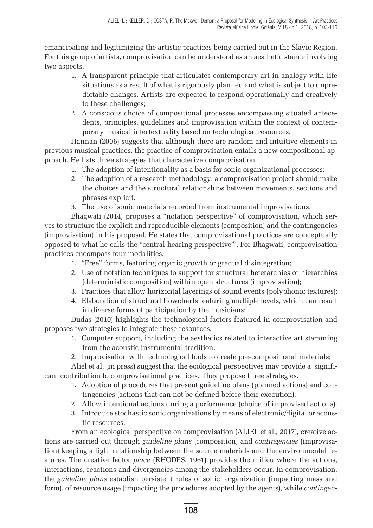emancipating and legitimizing the artistic practices being carried out in the Slavic Region. For this group of artists, comprovisation can be understood as an aesthetic stance involving two aspects.

- 1. A transparent principle that articulates contemporary art in analogy with life situations as a result of what is rigorously planned and what is subject to unpredictable changes. Artists are expected to respond operationally and creatively to these challenges;
- 2. A conscious choice of compositional processes encompassing situated antecedents, principles, guidelines and improvisation within the context of contemporary musical intertextuality based on technological resources.

Hannan (2006) suggests that although there are random and intuitive elements in previous musical practices, the practice of comprovisation entails a new compositional approach. He lists three strategies that characterize comprovisation.

- 1. The adoption of intentionality as a basis for sonic organizational processes;
- 2. The adoption of a research methodology: a comprovisation project should make the choices and the structural relationships between movements, sections and phrases explicit.
- 3. The use of sonic materials recorded from instrumental improvisations.

Bhagwati (2014) proposes a "notation perspective" of comprovisation, which serves to structure the explicit and reproducible elements (composition) and the contingencies (improvisation) in his proposal. He states that comprovisational practices are conceptually opposed to what he calls the "central hearing perspective"7 . For Bhagwati, comprovisation practices encompass four modalities.

- 1. "Free" forms, featuring organic growth or gradual disintegration;
- 2. Use of notation techniques to support for structural heterarchies or hierarchies (deterministic composition) within open structures (improvisation);
- 3. Practices that allow horizontal layerings of sound events (polyphonic textures);
- 4. Elaboration of structural flowcharts featuring multiple levels, which can result in diverse forms of participation by the musicians;

Dudas (2010) highlights the technological factors featured in comprovisation and proposes two strategies to integrate these resources.

- 1. Computer support, including the aesthetics related to interactive art stemming from the acoustic-instrumental tradition;
- 2. Improvisation with technological tools to create pre-compositional materials;

Aliel et al. (in press) suggest that the ecological perspectives may provide a significant contribution to comprovisational practices. They propose three strategies.

- 1. Adoption of procedures that present guideline plans (planned actions) and contingencies (actions that can not be defined before their execution);
- 2. Allow intentional actions during a performance (choice of improvised actions);
- 3. Introduce stochastic sonic organizations by means of electronic/digital or acoustic resources;

From an ecological perspective on comprovisation (ALIEL et al., 2017), creative actions are carried out through *guideline plans* (composition) and *contingencies* (improvisation) keeping a tight relationship between the source materials and the environmental features. The creative factor *place* (RHODES, 1961) provides the milieu where the actions, interactions, reactions and divergencies among the stakeholders occur. In comprovisation, the *guideline plans* establish persistent rules of sonic organization (impacting mass and form), of resource usage (impacting the procedures adopted by the agents), while *contingen-*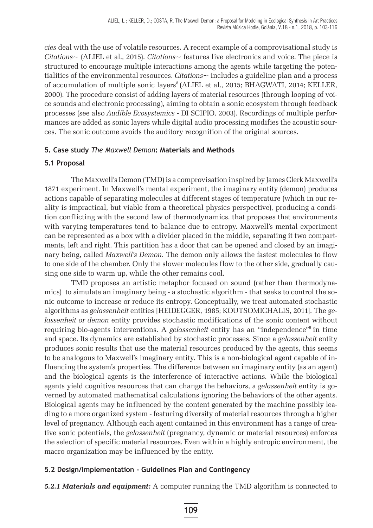*cies* deal with the use of volatile resources. A recent example of a comprovisational study is *Citations~* (ALIEL et al., 2015). *Citations~* features live electronics and voice. The piece is structured to encourage multiple interactions among the agents while targeting the potentialities of the environmental resources. *Citations~* includes a guideline plan and a process of accumulation of multiple sonic layers<sup>8</sup> (ALIEL et al., 2015; BHAGWATI, 2014; KELLER, 2000). The procedure consist of adding layers of material resources (through looping of voice sounds and electronic processing), aiming to obtain a sonic ecosystem through feedback processes (see also *Audible Ecosystemics -* DI SCIPIO, 2003). Recordings of multiple performances are added as sonic layers while digital audio processing modifies the acoustic sources. The sonic outcome avoids the auditory recognition of the original sources.

### **5. Case study** *The Maxwell Demon***: Materials and Methods**

### **5.1 Proposal**

The Maxwell's Demon (TMD) is a comprovisation inspired by James Clerk Maxwell's 1871 experiment. In Maxwell's mental experiment, the imaginary entity (demon) produces actions capable of separating molecules at different stages of temperature (which in our reality is impractical, but viable from a theoretical physics perspective), producing a condition conflicting with the second law of thermodynamics, that proposes that environments with varying temperatures tend to balance due to entropy. Maxwell's mental experiment can be represented as a box with a divider placed in the middle, separating it two compartments, left and right. This partition has a door that can be opened and closed by an imaginary being, called *Maxwell's Demon*. The demon only allows the fastest molecules to flow to one side of the chamber. Only the slower molecules flow to the other side, gradually causing one side to warm up, while the other remains cool.

TMD proposes an artistic metaphor focused on sound (rather than thermodynamics) to simulate an imaginary being - a stochastic algorithm - that seeks to control the sonic outcome to increase or reduce its entropy. Conceptually, we treat automated stochastic algorithms as *gelassenheit* entities [HEIDEGGER, 1985; KOUTSOMICHALIS, 2011]. The *gelassenheit or demon* entity provides stochastic modifications of the sonic content without requiring bio-agents interventions. A *gelassenheit* entity has an "independence"9 in time and space. Its dynamics are established by stochastic processes. Since a *gelassenheit* entity produces sonic results that use the material resources produced by the agents, this seems to be analogous to Maxwell's imaginary entity. This is a non-biological agent capable of influencing the system's properties. The difference between an imaginary entity (as an agent) and the biological agents is the interference of interactive actions. While the biological agents yield cognitive resources that can change the behaviors, a *gelassenheit* entity is governed by automated mathematical calculations ignoring the behaviors of the other agents. Biological agents may be influenced by the content generated by the machine possibly leading to a more organized system - featuring diversity of material resources through a higher level of pregnancy. Although each agent contained in this environment has a range of creative sonic potentials, the *gelassenheit* (pregnancy, dynamic or material resources) enforces the selection of specific material resources. Even within a highly entropic environment, the macro organization may be influenced by the entity.

### **5.2 Design/Implementation - Guidelines Plan and Contingency**

*5.2.1 Materials and equipment:* A computer running the TMD algorithm is connected to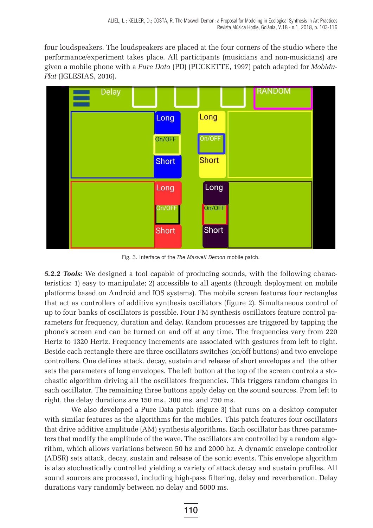four loudspeakers. The loudspeakers are placed at the four corners of the studio where the performance/experiment takes place. All participants (musicians and non-musicians) are given a mobile phone with a *Pure Data* (PD) (PUCKETTE, 1997) patch adapted for *MobMu-Plat* (IGLESIAS, 2016).



Fig. 3. Interface of the *The Maxwell Demon* mobile patch.

*5.2.2 Tools:* We designed a tool capable of producing sounds, with the following characteristics: 1) easy to manipulate; 2) accessible to all agents (through deployment on mobile platforms based on Android and IOS systems). The mobile screen features four rectangles that act as controllers of additive synthesis oscillators (figure 2). Simultaneous control of up to four banks of oscillators is possible. Four FM synthesis oscillators feature control parameters for frequency, duration and delay. Random processes are triggered by tapping the phone's screen and can be turned on and off at any time. The frequencies vary from 220 Hertz to 1320 Hertz. Frequency increments are associated with gestures from left to right. Beside each rectangle there are three oscillators switches (on/off buttons) and two envelope controllers. One defines attack, decay, sustain and release of short envelopes and the other sets the parameters of long envelopes. The left button at the top of the screen controls a stochastic algorithm driving all the oscillators frequencies. This triggers random changes in each oscillator. The remaining three buttons apply delay on the sound sources. From left to right, the delay durations are 150 ms., 300 ms. and 750 ms.

We also developed a Pure Data patch (figure 3) that runs on a desktop computer with similar features as the algorithms for the mobiles. This patch features four oscillators that drive additive amplitude (AM) synthesis algorithms. Each oscillator has three parameters that modify the amplitude of the wave. The oscillators are controlled by a random algorithm, which allows variations between 50 hz and 2000 hz. A dynamic envelope controller (ADSR) sets attack, decay, sustain and release of the sonic events. This envelope algorithm is also stochastically controlled yielding a variety of attack,decay and sustain profiles. All sound sources are processed, including high-pass filtering, delay and reverberation. Delay durations vary randomly between no delay and 5000 ms.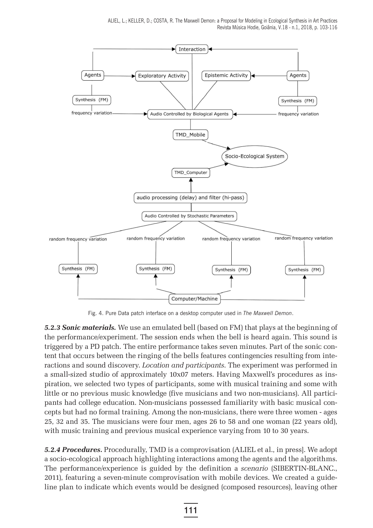

Fig. 4. Pure Data patch interface on a desktop computer used in *The Maxwell Demon*.

*5.2.3 Sonic materials.* We use an emulated bell (based on FM) that plays at the beginning of the performance/experiment. The session ends when the bell is heard again. This sound is triggered by a PD patch. The entire performance takes seven minutes. Part of the sonic content that occurs between the ringing of the bells features contingencies resulting from interactions and sound discovery. *Location and participants*. The experiment was performed in a small-sized studio of approximately 10x07 meters. Having Maxwell's procedures as inspiration, we selected two types of participants, some with musical training and some with little or no previous music knowledge (five musicians and two non-musicians). All participants had college education. Non-musicians possessed familiarity with basic musical concepts but had no formal training. Among the non-musicians, there were three women - ages 25, 32 and 35. The musicians were four men, ages 26 to 58 and one woman (22 years old), with music training and previous musical experience varying from 10 to 30 years.

*5.2.4 Procedures***.** Procedurally, TMD is a comprovisation (ALIEL et al., in press]. We adopt a socio-ecological approach highlighting interactions among the agents and the algorithms. The performance/experience is guided by the definition a *scenario* (SIBERTIN-BLANC., 2011), featuring a seven-minute comprovisation with mobile devices. We created a guideline plan to indicate which events would be designed (composed resources), leaving other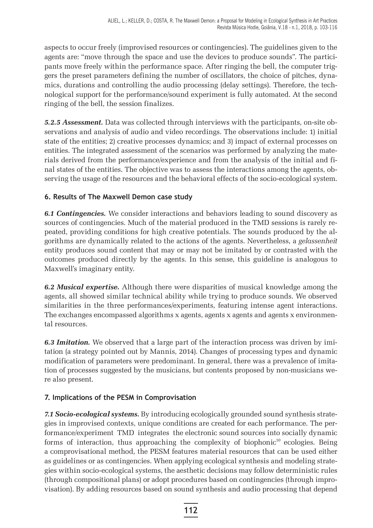aspects to occur freely (improvised resources or contingencies). The guidelines given to the agents are: "move through the space and use the devices to produce sounds". The participants move freely within the performance space. After ringing the bell, the computer triggers the preset parameters defining the number of oscillators, the choice of pitches, dynamics, durations and controlling the audio processing (delay settings). Therefore, the technological support for the performance/sound experiment is fully automated. At the second ringing of the bell, the session finalizes.

*5.2.5 Assessment.* Data was collected through interviews with the participants, on-site observations and analysis of audio and video recordings. The observations include: 1) initial state of the entities; 2) creative processes dynamics; and 3) impact of external processes on entities. The integrated assessment of the scenarios was performed by analyzing the materials derived from the performance/experience and from the analysis of the initial and final states of the entities. The objective was to assess the interactions among the agents, observing the usage of the resources and the behavioral effects of the socio-ecological system.

## **6. Results of The Maxwell Demon case study**

*6.1 Contingencies.* We consider interactions and behaviors leading to sound discovery as sources of contingencies. Much of the material produced in the TMD sessions is rarely repeated, providing conditions for high creative potentials. The sounds produced by the algorithms are dynamically related to the actions of the agents. Nevertheless, a *gelassenheit*  entity produces sound content that may or may not be imitated by or contrasted with the outcomes produced directly by the agents. In this sense, this guideline is analogous to Maxwell's imaginary entity.

*6.2 Musical expertise***.** Although there were disparities of musical knowledge among the agents, all showed similar technical ability while trying to produce sounds. We observed similarities in the three performances/experiments, featuring intense agent interactions. The exchanges encompassed algorithms x agents, agents x agents and agents x environmental resources.

*6.3 Imitation.* We observed that a large part of the interaction process was driven by imitation (a strategy pointed out by Mannis, 2014). Changes of processing types and dynamic modification of parameters were predominant. In general, there was a prevalence of imitation of processes suggested by the musicians, but contents proposed by non-musicians were also present.

## **7. Implications of the PESM in Comprovisation**

*7.1 Socio-ecological systems***.** By introducing ecologically grounded sound synthesis strategies in improvised contexts, unique conditions are created for each performance. The performance/experiment TMD integrates the electronic sound sources into socially dynamic forms of interaction, thus approaching the complexity of biophonic $10$  ecologies. Being a comprovisational method, the PESM features material resources that can be used either as guidelines or as contingencies. When applying ecological synthesis and modeling strategies within socio-ecological systems, the aesthetic decisions may follow deterministic rules (through compositional plans) or adopt procedures based on contingencies (through improvisation). By adding resources based on sound synthesis and audio processing that depend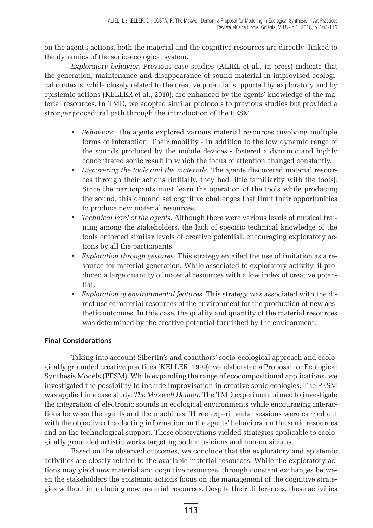on the agent's actions, both the material and the cognitive resources are directly linked to the dynamics of the socio-ecological system.

*Exploratory behavior.* Previous case studies (ALIEL et al., in press) indicate that the generation, maintenance and disappearance of sound material in improvised ecological contexts, while closely related to the creative potential supported by exploratory and by epistemic actions (KELLER et al., 2010), are enhanced by the agents' knowledge of the material resources. In TMD, we adopted similar protocols to previous studies but provided a stronger procedural path through the introduction of the PESM.

- *Behaviors.* The agents explored various material resources involving multiple forms of interaction. Their mobility - in addition to the low dynamic range of the sounds produced by the mobile devices - fostered a dynamic and highly concentrated sonic result in which the focus of attention changed constantly.
- *Discovering the tools and the materials*. The agents discovered material resources through their actions (initially, they had little familiarity with the tools). Since the participants must learn the operation of the tools while producing the sound, this demand set cognitive challenges that limit their opportunities to produce new material resources.
- *Technical level of the agents*. Although there were various levels of musical training among the stakeholders, the lack of specific technical knowledge of the tools enforced similar levels of creative potential, encouraging exploratory actions by all the participants.
- *Exploration through gestures.* This strategy entailed the use of imitation as a resource for material generation. While associated to exploratory activity, it produced a large quantity of material resources with a low index of creative potential;
- *Exploration of environmental features.* This strategy was associated with the direct use of material resources of the environment for the production of new aesthetic outcomes. In this case, the quality and quantity of the material resources was determined by the creative potential furnished by the environment.

## **Final Considerations**

Taking into account Sibertin's and coauthors' socio-ecological approach and ecologically grounded creative practices (KELLER, 1999), we elaborated a Proposal for Ecological Synthesis Models (PESM). While expanding the range of ecocompositional applications, we investigated the possibility to include improvisation in creative sonic ecologies. The PESM was applied in a case study, *The Maxwell Demon*. The TMD experiment aimed to investigate the integration of electronic sounds in ecological environments while encouraging interactions between the agents and the machines. Three experimental sessions were carried out with the objective of collecting information on the agents' behaviors, on the sonic resources and on the technological support. These observations yielded strategies applicable to ecologically grounded artistic works targeting both musicians and non-musicians.

Based on the observed outcomes, we conclude that the exploratory and epistemic activities are closely related to the available material resources. While the exploratory actions may yield new material and cognitive resources, through constant exchanges between the stakeholders the epistemic actions focus on the management of the cognitive strategies without introducing new material resources. Despite their differences, these activities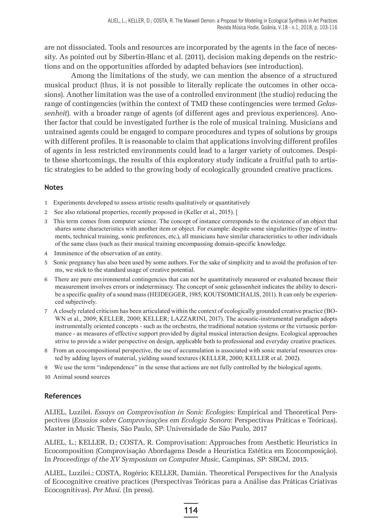are not dissociated. Tools and resources are incorporated by the agents in the face of necessity. As pointed out by Sibertin-Blanc et al. (2011), decision making depends on the restrictions and on the opportunities afforded by adapted behaviors (see introduction).

Among the limitations of the study, we can mention the absence of a structured musical product (thus, it is not possible to literally replicate the outcomes in other occasions). Another limitation was the use of a controlled environment (the studio) reducing the range of contingencies (within the context of TMD these contingencies were termed *Gelassenheit*). with a broader range of agents (of different ages and previous experiences). Another factor that could be investigated further is the role of musical training. Musicians and untrained agents could be engaged to compare procedures and types of solutions by groups with different profiles. It is reasonable to claim that applications involving different profiles of agents in less restricted environments could lead to a larger variety of outcomes. Despite these shortcomings, the results of this exploratory study indicate a fruitful path to artistic strategies to be added to the growing body of ecologically grounded creative practices.

#### **Notes**

- 1 Experiments developed to assess artistic results qualitatively or quantitatively
- 2 See also relational properties, recently proposed in (Keller et al., 2015). [
- 3 This term comes from computer science. The concept of instance corresponds to the existence of an object that shares some characteristics with another item or object. For example: despite some singularities (type of instruments, technical training, sonic preferences, etc.), all musicians have similar characteristics to other individuals of the same class (such as their musical training encompassing domain-specific knowledge.
- 4 Imminence of the observation of an entity.
- 5 Sonic pregnancy has also been used by some authors. For the sake of simplicity and to avoid the profusion of terms, we stick to the standard usage of creative potential.
- 6 There are pure environmental contingencies that can not be quantitatively measured or evaluated because their measurement involves errors or indeterminacy. The concept of sonic gelassenheit indicates the ability to describe a specific quality of a sound mass (HEIDEGGER, 1985; KOUTSOMICHALIS, 2011). It can only be experienced subjectively.
- 7 A closely related criticism has been articulated within the context of ecologically grounded creative practice (BO-WN et al., 2009; KELLER, 2000; KELLER; LAZZARINI, 2017). The acoustic-instrumental paradigm adopts instrumentally oriented concepts - such as the orchestra, the traditional notation systems or the virtuosic performance - as measures of effective support provided by digital musical interaction designs. Ecological approaches strive to provide a wider perspective on design, applicable both to professional and everyday creative practices.
- 8 From an ecocompositional perspective, the use of accumulation is associated with sonic material resources created by adding layers of material, yielding sound textures (KELLER, 2000; KELLER et al. 2002).
- 9 We use the term "independence" in the sense that actions are not fully controlled by the biological agents.
- 10 Animal sound sources

## **References**

ALIEL, Luzilei. *Essays on Comprovisation in Sonic Ecologies:* Empirical and Theoretical Perspectives (*Ensaios sobre Comprovisações em Ecologia Sonora*: Perspectivas Práticas e Teóricas). Master in Music Thesis, São Paulo, SP: Universidade de São Paulo, 2017

ALIEL, L.; KELLER, D.; COSTA, R. Comprovisation: Approaches from Aesthetic Heuristics in Ecocomposition (Comprovisação Abordagens Desde a Heurística Estética em Ecocomposição). In *Proceedings of the XV Symposium on Computer Music*, Campinas, SP: SBCM, 2015.

ALIEL, Luzilei.; COSTA, Rogério; KELLER, Damián. Theoretical Perspectives for the Analysis of Ecocognitive creative practices (Perspectivas Teóricas para a Análise das Práticas Criativas Ecocognitivas). *Per Musi*. (In press).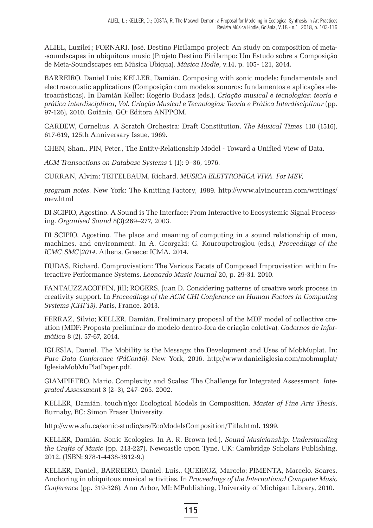ALIEL, Luzilei.; FORNARI. José. Destino Pirilampo project: An study on composition of meta- -soundscapes in ubiquitous music (Projeto Destino Pirilampo: Um Estudo sobre a Composição de Meta-Soundscapes em Música Ubíqua). *Música Hodie*, v.14, p. 105- 121, 2014.

BARREIRO, Daniel Luis; KELLER, Damián. Composing with sonic models: fundamentals and electroacoustic applications (Composição com modelos sonoros: fundamentos e aplicações eletroacústicas). In Damián Keller; Rogério Budasz (eds.), *Criação musical e tecnologias: teoria e prática interdisciplinar, Vol. Criação Musical e Tecnologias: Teoria e Prática Interdisciplinar* (pp. 97-126), 2010. Goiânia, GO: Editora ANPPOM.

CARDEW, Cornelius. A Scratch Orchestra: Draft Constitution. *The Musical Times* 110 (1516), 617-619, 125th Anniversary Issue, 1969.

CHEN, Shan., PIN, Peter., The Entity-Relationship Model - Toward a Unified View of Data.

*ACM Transactions on Database Systems* 1 (1): 9–36, 1976.

CURRAN, Alvim; TEITELBAUM, Richard. *MUSICA ELETTRONICA VIVA. For MEV,*

*program notes*. New York: The Knitting Factory, 1989. http://www.alvincurran.com/writings/ mev.html

DI SCIPIO, Agostino. A Sound is The Interface: From Interactive to Ecosystemic Signal Processing. *Organised Sound* 8(3):269–277, 2003.

DI SCIPIO, Agostino. The place and meaning of computing in a sound relationship of man, machines, and environment. In A. Georgaki; G. Kouroupetroglou (eds.), *Proceedings of the ICMC|SMC|2014*. Athens, Greece: ICMA. 2014.

DUDAS, Richard. Comprovisation: The Various Facets of Composed Improvisation within Interactive Performance Systems. *Leonardo Music Journal* 20, p. 29-31. 2010.

FANTAUZZACOFFIN, Jill; ROGERS, Juan D. Considering patterns of creative work process in creativity support. In *Proceedings of the ACM CHI Conference on Human Factors in Computing Systems (CHI'13)*. Paris, France, 2013.

FERRAZ, Silvio; KELLER, Damián. Preliminary proposal of the MDF model of collective creation (MDF: Proposta preliminar do modelo dentro-fora de criação coletiva). *Cadernos de Informática* 8 (2), 57-67, 2014.

IGLESIA, Daniel. The Mobility is the Message: the Development and Uses of MobMuplat. In: *Pure Data Conference (PdCon16)*. New York, 2016. http://www.danieliglesia.com/mobmuplat/ IglesiaMobMuPlatPaper.pdf.

GIAMPIETRO, Mario. Complexity and Scales: The Challenge for Integrated Assessment. *Integrated Assessmen*t 3 (2–3), 247–265. 2002.

KELLER, Damián. touch'n'go: Ecological Models in Composition. *Master of Fine Arts Thesis*, Burnaby, BC: Simon Fraser University.

http://www.sfu.ca/sonic-studio/srs/EcoModelsComposition/Title.html. 1999.

KELLER, Damián. Sonic Ecologies. In A. R. Brown (ed.)*, Sound Musicianship: Understanding the Crafts of Music* (pp. 213-227). Newcastle upon Tyne, UK: Cambridge Scholars Publishing, 2012. (ISBN: 978-1-4438-3912-9.)

KELLER, Daniel., BARREIRO, Daniel. Luis., QUEIROZ, Marcelo; PIMENTA, Marcelo. Soares. Anchoring in ubiquitous musical activities. In *Proceedings of the International Computer Music Conference* (pp. 319-326). Ann Arbor, MI: MPublishing, University of Michigan Library, 2010.